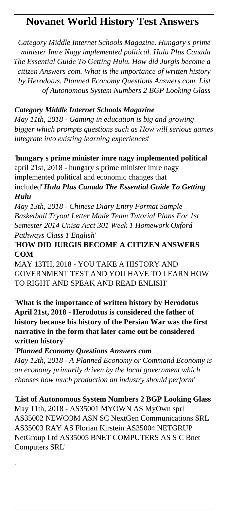## **Novanet World History Test Answers**

*Category Middle Internet Schools Magazine. Hungary s prime minister Imre Nagy implemented political. Hulu Plus Canada The Essential Guide To Getting Hulu. How did Jurgis become a citizen Answers com. What is the importance of written history by Herodotus. Planned Economy Questions Answers com. List of Autonomous System Numbers 2 BGP Looking Glass*

## *Category Middle Internet Schools Magazine*

*May 11th, 2018 - Gaming in education is big and growing bigger which prompts questions such as How will serious games integrate into existing learning experiences*'

## '**hungary s prime minister imre nagy implemented political** april 21st, 2018 - hungary s prime minister imre nagy

implemented political and economic changes that included''*Hulu Plus Canada The Essential Guide To Getting Hulu*

*May 13th, 2018 - Chinese Diary Entry Format Sample Basketball Tryout Letter Made Team Tutorial Plans For 1st Semester 2014 Unisa Acct 301 Week 1 Homework Oxford Pathways Class 1 English*'

## '**HOW DID JURGIS BECOME A CITIZEN ANSWERS COM**

MAY 13TH, 2018 - YOU TAKE A HISTORY AND GOVERNMENT TEST AND YOU HAVE TO LEARN HOW TO RIGHT AND SPEAK AND READ ENLISH'

'**What is the importance of written history by Herodotus April 21st, 2018 - Herodotus is considered the father of history because his history of the Persian War was the first narrative in the form that later came out be considered written history**'

'*Planned Economy Questions Answers com May 12th, 2018 - A Planned Economy or Command Economy is an economy primarily driven by the local government which chooses how much production an industry should perform*'

'**List of Autonomous System Numbers 2 BGP Looking Glass** May 11th, 2018 - AS35001 MYOWN AS MyOwn sprl AS35002 NEWCOM ASN SC NextGen Communications SRL AS35003 RAY AS Florian Kirstein AS35004 NETGRUP NetGroup Ltd AS35005 BNET COMPUTERS AS S C Bnet Computers SRL'

'